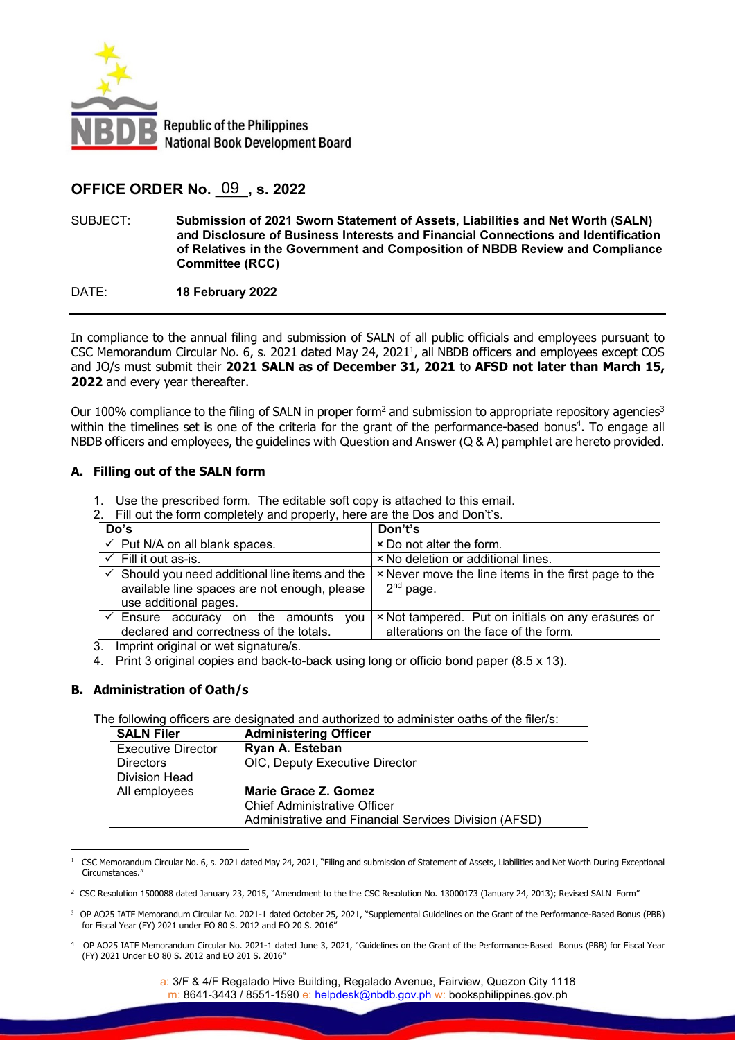

# **OFFICE ORDER No. \_\_\_\_, s. 2022** 09

SUBJECT: **Submission of 2021 Sworn Statement of Assets, Liabilities and Net Worth (SALN) and Disclosure of Business Interests and Financial Connections and Identification of Relatives in the Government and Composition of NBDB Review and Compliance Committee (RCC)**

DATE: **18 February 2022**

In compliance to the annual filing and submission of SALN of all public officials and employees pursuant to CSC Memorandum Circular No. 6, s. 2021 dated May 24, 2021<sup>1</sup>, all NBDB officers and employees except COS and JO/s must submit their **2021 SALN as of December 31, 2021** to **AFSD not later than March 15, 2022** and every year thereafter.

Our 100% compliance to the filing of SALN in proper form<sup>2</sup> and submission to appropriate repository agencies<sup>3</sup> within the timelines set is one of the criteria for the grant of the performance-based bonus<sup>4</sup>. To engage all NBDB officers and employees, the guidelines with Question and Answer (Q & A) pamphlet are hereto provided.

### **A. Filling out of the SALN form**

- 1. Use the prescribed form. The editable soft copy is attached to this email.
- 2. Fill out the form completely and properly, here are the Dos and Don't's.

| Do's                                                                                                                                | Don't's                                                                                    |
|-------------------------------------------------------------------------------------------------------------------------------------|--------------------------------------------------------------------------------------------|
| $\checkmark$ Put N/A on all blank spaces.                                                                                           | × Do not alter the form.                                                                   |
| $\checkmark$ Fill it out as-is.                                                                                                     | × No deletion or additional lines.                                                         |
| $\checkmark$ Should you need additional line items and the<br>available line spaces are not enough, please<br>use additional pages. | × Never move the line items in the first page to the<br>$2nd$ page.                        |
| $\checkmark$ Ensure accuracy on the amounts<br>vou<br>declared and correctness of the totals.                                       | × Not tampered. Put on initials on any erasures or<br>alterations on the face of the form. |

3. Imprint original or wet signature/s.

4. Print 3 original copies and back-to-back using long or officio bond paper (8.5 x 13).

### **B. Administration of Oath/s**

The following officers are designated and authorized to administer oaths of the filer/s:

| <b>SALN Filer</b>  | <b>Administering Officer</b>                          |
|--------------------|-------------------------------------------------------|
| Executive Director | Ryan A. Esteban                                       |
| <b>Directors</b>   | OIC, Deputy Executive Director                        |
| Division Head      |                                                       |
| All employees      | <b>Marie Grace Z. Gomez</b>                           |
|                    | <b>Chief Administrative Officer</b>                   |
|                    | Administrative and Financial Services Division (AFSD) |

 $\overline{a}$ 1 CSC Memorandum Circular No. 6, s. 2021 dated May 24, 2021, "Filing and submission of Statement of Assets, Liabilities and Net Worth During Exceptional Circumstances.

<sup>4</sup> OP AO25 IATF Memorandum Circular No. 2021-1 dated June 3, 2021, "Guidelines on the Grant of the Performance-Based Bonus (PBB) for Fiscal Year (FY) 2021 Under EO 80 S. 2012 and EO 201 S. 2016"

<sup>&</sup>lt;sup>2</sup> CSC Resolution 1500088 dated January 23, 2015, "Amendment to the the CSC Resolution No. 13000173 (January 24, 2013); Revised SALN Form"

<sup>3</sup> OP AO25 IATF Memorandum Circular No. 2021-1 dated October 25, 2021, "Supplemental Guidelines on the Grant of the Performance-Based Bonus (PBB) for Fiscal Year (FY) 2021 under EO 80 S. 2012 and EO 20 S. 2016"